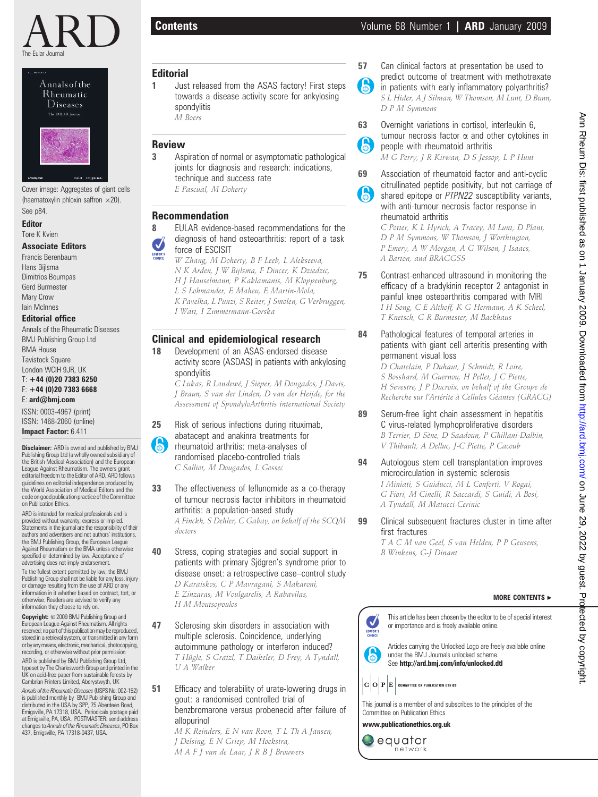





Cover image: Aggregates of giant cells (haematoxylin phloxin saffron  $\times$ 20). See p84.

# Editor

Tore K Kvien

# Associate Editors

Francis Berenbaum Hans Bijlsma Dimitrios Boumpas Gerd Burmester Mary Crow Iain McInnes

## Editorial office

Annals of the Rheumatic Diseases BMJ Publishing Group Ltd BMA House **Tavistock Square** London WCIH 9JR, UK

T: +44 (0)20 7383 6250

#### F: +44 (0)20 7383 6668 E: ard@bmj.com

ISSN: 0003-4967 (print) ISSN: 1468-2060 (online) Impact Factor: 6.411

**Disclaimer:** ARD is owned and published by BMJ Publishing Group Ltd (a wholly owned subsidiary of the British Medical Association) and the European League Against Rheumatism. The owners grant editorial freedom to the Editor of ARD. ARD follows guidelines on editorial independence produced by the World Association of Medical Editors and the code on good publication practice of the Committee on Publication Ethics.

ARD is intended for medical professionals and is provided without warranty, express or implied. Statements in the journal are the responsibility of their authors and advertisers and not authors' institutions, the BMJ Publishing Group, the European League Against Rheumatism or the BMA unless otherwise specified or determined by law. Acceptance of advertising does not imply endorsement.

To the fullest extent permitted by law, the BMJ Publishing Group shall not be liable for any loss, injury or damage resulting from the use of ARD or any information in it whether based on contract, tort, or otherwise. Readers are advised to verify any information they choose to rely on.

Copyright: © 2009 BMJ Publishing Group and European League Against Rheumatism. All rights reserved; no part of this publication may be reproduced. stored in a retrieval system, or transmitted in any form or by any means, electronic, mechanical, photocopying, recording, or otherwise without prior permission ARD is published by BMJ Publishing Group Ltd, typeset by The Charlesworth Group and printed in the UK on acid-free paper from sustainable forests by Cambrian Printers Limited, Aberystwyth, UK

Annals of the Rheumatic Diseases(USPS No: 002-152) is published monthly by BMJ Publishing Group and distributed in the USA by SPP, 75 Aberdeen Road, Emigsville, PA 17318, USA. Periodicals postage paid at Emigsville, PA, USA. POSTMASTER: send address changes to Annals of the Rheumatic Diseases, PO Box 437, Emigsville, PA 17318-0437, USA.

# **Editorial**

1 Just released from the ASAS factory! First steps towards a disease activity score for ankylosing spondylitis M Boers

# Review

3 Aspiration of normal or asymptomatic pathological joints for diagnosis and research: indications, technique and success rate E Pascual, M Doherty

## Recommendation

- 8 **EULAR** evidence-based recommendations for the diagnosis of hand osteoarthritis: report of a task J force of ESCISIT EDITOR'S<br>CHOICE
	- W Zhang, M Doherty, B F Leeb, L Alekseeva, N K Arden, J W Bijlsma, F Dincer, K Dziedzic, H J Hauselmann, P Kaklamanis, M Kloppenburg, L S Lohmander, E Maheu, E Martin-Mola, K Pavelka, L Punzi, S Reiter, J Smolen, G Verbruggen, I Watt, I Zimmermann-Gorska

# Clinical and epidemiological research

18 Development of an ASAS-endorsed disease activity score (ASDAS) in patients with ankylosing spondylitis

C Lukas, R Landewé, J Sieper, M Dougados, J Davis, J Braun, S van der Linden, D van der Heijde, for the Assessment of SpondyloArthritis international Society

25 Risk of serious infections during rituximab, abatacept and anakinra treatments for 6 rheumatoid arthritis: meta-analyses of randomised placebo-controlled trials C Salliot, M Dougados, L Gossec

33 The effectiveness of leflunomide as a co-therapy of tumour necrosis factor inhibitors in rheumatoid arthritis: a population-based study

A Finckh, S Dehler, C Gabay, on behalf of the SCQM doctors

- 40 Stress, coping strategies and social support in patients with primary Sjögren's syndrome prior to disease onset: a retrospective case–control study D Karaiskos, C P Mavragani, S Makaroni, E Zinzaras, M Voulgarelis, A Rabavilas, H M Moutsopoulos
- 47 Sclerosing skin disorders in association with multiple sclerosis. Coincidence, underlying autoimmune pathology or interferon induced? T Hügle, S Gratzl, T Daikeler, D Frey, A Tyndall, U A Walker
- 51 Efficacy and tolerability of urate-lowering drugs in gout: a randomised controlled trial of benzbromarone versus probenecid after failure of allopurinol

M K Reinders, E N van Roon, T L Th A Jansen, J Delsing, E N Griep, M Hoekstra, M A F J van de Laar, J R B J Brouwers

- 57 Can clinical factors at presentation be used to predict outcome of treatment with methotrexate A
	- in patients with early inflammatory polyarthritis? S L Hider, A J Silman, W Thomson, M Lunt, D Bunn, D P M Symmons
- 63 Overnight variations in cortisol, interleukin 6, tumour necrosis factor  $\alpha$  and other cytokines in 6 people with rheumatoid arthritis
	- M G Perry, J R Kirwan, D S Jessop, L P Hunt
- 69 Association of rheumatoid factor and anti-cyclic citrullinated peptide positivity, but not carriage of **A** shared epitope or PTPN22 susceptibility variants, with anti-tumour necrosis factor response in rheumatoid arthritis

C Potter, K L Hyrich, A Tracey, M Lunt, D Plant, D P M Symmons, W Thomson, J Worthington, P Emery, A W Morgan, A G Wilson, J Isaacs, A Barton, and BRAGGSS

- 75 Contrast-enhanced ultrasound in monitoring the efficacy of a bradykinin receptor 2 antagonist in painful knee osteoarthritis compared with MRI I H Song, C E Althoff, K G Hermann, A K Scheel, T Knetsch, G R Burmester, M Backhaus
- 84 Pathological features of temporal arteries in patients with giant cell arteritis presenting with permanent visual loss

D Chatelain, P Duhaut, J Schmidt, R Loire, S Bosshard, M Guernou, H Pellet, J C Piette, H Sevestre, J P Ducroix, on behalf of the Groupe de Recherche sur l'Artérite à Cellules Géantes (GRACG)

- 89 Serum-free light chain assessment in hepatitis C virus-related lymphoproliferative disorders B Terrier, D Sène, D Saadoun, P Ghillani-Dalbin, V Thibault, A Delluc, J-C Piette, P Cacoub
- 94 Autologous stem cell transplantation improves microcirculation in systemic sclerosis I Miniati, S Guiducci, M L Conforti, V Rogai, G Fiori, M Cinelli, R Saccardi, S Guidi, A Bosi, A Tyndall, M Matucci-Cerinic
- **99** Clinical subsequent fractures cluster in time after first fractures

T A C M van Geel, S van Helden, P P Geusens, B Winkens, G-J Dinant

#### MORE CONTENTS  $\blacktriangleright$

This article has been chosen by the editor to be of special interest or importance and is freely available online. EDITOR'S

Articles carrying the Unlocked Logo are freely available online under the BMJ Journals unlocked scheme. See http://ard.bmj.com/info/unlocked.dtl

 $\mathbf{C} \left | \mathbf{O} \right | \mathbf{P} \left | \mathbf{E} \right |$  committee on publication ethics

6



www.publicationethics.org.uk

equator network Ann Rheum Dis: first published as on 1 January 2009. Downloaded from http://ard.bmj.com/ on June 29, 2022 by guest. Protected by copyright Ann Rheum Dis: first published as on 1 January 2009. Downloaded from <http://ard.bmj.com/> on June 29, 2022 by guest. Protected by copyright.